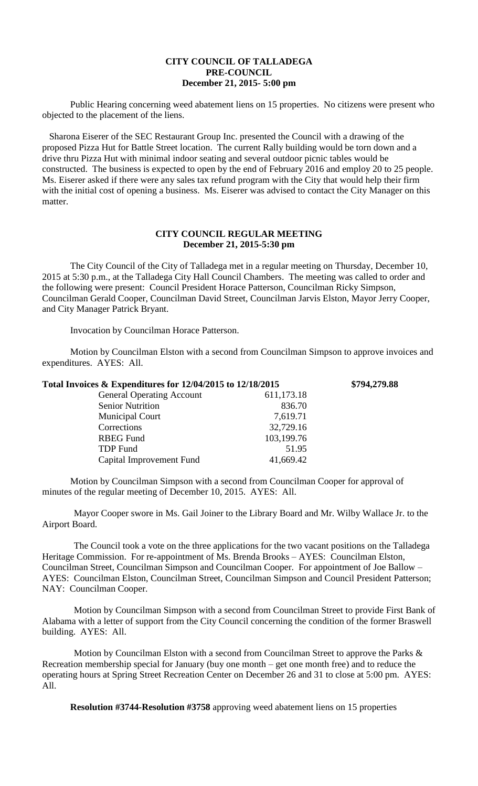## **CITY COUNCIL OF TALLADEGA PRE-COUNCIL December 21, 2015- 5:00 pm**

Public Hearing concerning weed abatement liens on 15 properties. No citizens were present who objected to the placement of the liens.

Sharona Eiserer of the SEC Restaurant Group Inc. presented the Council with a drawing of the proposed Pizza Hut for Battle Street location. The current Rally building would be torn down and a drive thru Pizza Hut with minimal indoor seating and several outdoor picnic tables would be constructed. The business is expected to open by the end of February 2016 and employ 20 to 25 people. Ms. Eiserer asked if there were any sales tax refund program with the City that would help their firm with the initial cost of opening a business. Ms. Eiserer was advised to contact the City Manager on this matter.

## **CITY COUNCIL REGULAR MEETING December 21, 2015-5:30 pm**

The City Council of the City of Talladega met in a regular meeting on Thursday, December 10, 2015 at 5:30 p.m., at the Talladega City Hall Council Chambers. The meeting was called to order and the following were present: Council President Horace Patterson, Councilman Ricky Simpson, Councilman Gerald Cooper, Councilman David Street, Councilman Jarvis Elston, Mayor Jerry Cooper, and City Manager Patrick Bryant.

Invocation by Councilman Horace Patterson.

Motion by Councilman Elston with a second from Councilman Simpson to approve invoices and expenditures. AYES: All.

| Total Invoices & Expenditures for 12/04/2015 to 12/18/2015 |            | \$794,279.88 |
|------------------------------------------------------------|------------|--------------|
| <b>General Operating Account</b>                           | 611,173.18 |              |
| <b>Senior Nutrition</b>                                    | 836.70     |              |
| <b>Municipal Court</b>                                     | 7,619.71   |              |
| Corrections                                                | 32,729.16  |              |
| <b>RBEG</b> Fund                                           | 103,199.76 |              |
| <b>TDP</b> Fund                                            | 51.95      |              |
| Capital Improvement Fund                                   | 41,669.42  |              |

Motion by Councilman Simpson with a second from Councilman Cooper for approval of minutes of the regular meeting of December 10, 2015. AYES: All.

Mayor Cooper swore in Ms. Gail Joiner to the Library Board and Mr. Wilby Wallace Jr. to the Airport Board.

The Council took a vote on the three applications for the two vacant positions on the Talladega Heritage Commission. For re-appointment of Ms. Brenda Brooks – AYES: Councilman Elston, Councilman Street, Councilman Simpson and Councilman Cooper. For appointment of Joe Ballow – AYES: Councilman Elston, Councilman Street, Councilman Simpson and Council President Patterson; NAY: Councilman Cooper.

Motion by Councilman Simpson with a second from Councilman Street to provide First Bank of Alabama with a letter of support from the City Council concerning the condition of the former Braswell building. AYES: All.

Motion by Councilman Elston with a second from Councilman Street to approve the Parks & Recreation membership special for January (buy one month – get one month free) and to reduce the operating hours at Spring Street Recreation Center on December 26 and 31 to close at 5:00 pm. AYES: All.

**Resolution #3744-Resolution #3758** approving weed abatement liens on 15 properties